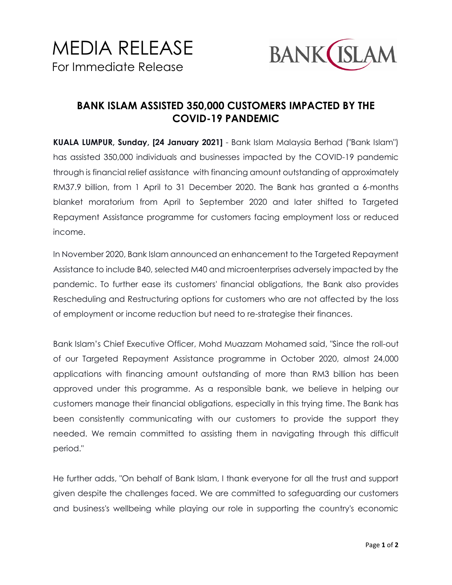

## **BANK ISLAM ASSISTED 350,000 CUSTOMERS IMPACTED BY THE COVID-19 PANDEMIC**

**KUALA LUMPUR, Sunday, [24 January 2021]** - Bank Islam Malaysia Berhad ("Bank Islam") has assisted 350,000 individuals and businesses impacted by the COVID-19 pandemic through is financial relief assistance with financing amount outstanding of approximately RM37.9 billion, from 1 April to 31 December 2020. The Bank has granted a 6-months blanket moratorium from April to September 2020 and later shifted to Targeted Repayment Assistance programme for customers facing employment loss or reduced income.

In November 2020, Bank Islam announced an enhancement to the Targeted Repayment Assistance to include B40, selected M40 and microenterprises adversely impacted by the pandemic. To further ease its customers' financial obligations, the Bank also provides Rescheduling and Restructuring options for customers who are not affected by the loss of employment or income reduction but need to re-strategise their finances.

Bank Islam's Chief Executive Officer, Mohd Muazzam Mohamed said, "Since the roll-out of our Targeted Repayment Assistance programme in October 2020, almost 24,000 applications with financing amount outstanding of more than RM3 billion has been approved under this programme. As a responsible bank, we believe in helping our customers manage their financial obligations, especially in this trying time. The Bank has been consistently communicating with our customers to provide the support they needed. We remain committed to assisting them in navigating through this difficult period."

He further adds, "On behalf of Bank Islam, I thank everyone for all the trust and support given despite the challenges faced. We are committed to safeguarding our customers and business's wellbeing while playing our role in supporting the country's economic